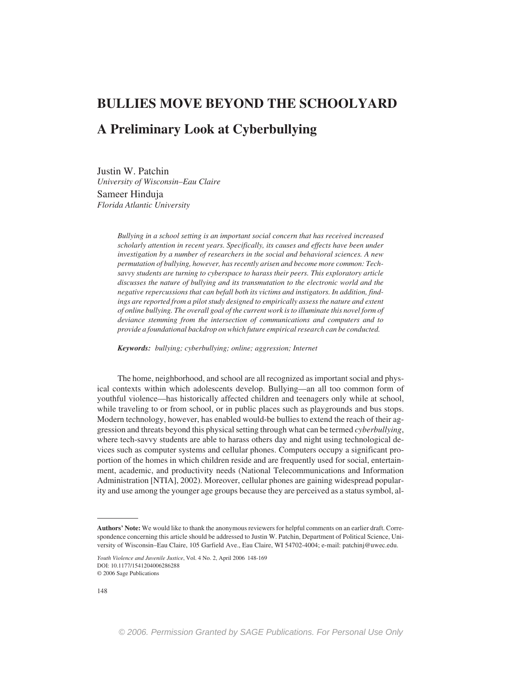# **BULLIES MOVE BEYOND THE SCHOOLYARD A Preliminary Look at Cyberbullying**

Justin W. Patchin *University of Wisconsin–Eau Claire* Sameer Hinduja *Florida Atlantic University*

> *Bullying in a school setting is an important social concern that has received increased scholarly attention in recent years. Specifically, its causes and effects have been under investigation by a number of researchers in the social and behavioral sciences. A new permutation of bullying, however, has recently arisen and become more common: Techsavvy students are turning to cyberspace to harass their peers. This exploratory article discusses the nature of bullying and its transmutation to the electronic world and the negative repercussions that can befall both its victims and instigators. In addition, findings are reported from a pilot study designed to empirically assess the nature and extent of online bullying. The overall goal of the current work is to illuminate this novel form of deviance stemming from the intersection of communications and computers and to provide a foundational backdrop on which future empirical research can be conducted.*

*Keywords: bullying; cyberbullying; online; aggression; Internet*

The home, neighborhood, and school are all recognized as important social and physical contexts within which adolescents develop. Bullying—an all too common form of youthful violence—has historically affected children and teenagers only while at school, while traveling to or from school, or in public places such as playgrounds and bus stops. Modern technology, however, has enabled would-be bullies to extend the reach of their aggression and threats beyond this physical setting through what can be termed *cyberbullying*, where tech-savvy students are able to harass others day and night using technological devices such as computer systems and cellular phones. Computers occupy a significant proportion of the homes in which children reside and are frequently used for social, entertainment, academic, and productivity needs (National Telecommunications and Information Administration [NTIA], 2002). Moreover, cellular phones are gaining widespread popularity and use among the younger age groups because they are perceived as a status symbol, al-

**Authors' Note:** We would like to thank the anonymous reviewers for helpful comments on an earlier draft. Correspondence concerning this article should be addressed to Justin W. Patchin, Department of Political Science, University of Wisconsin–Eau Claire, 105 Garfield Ave., Eau Claire, WI 54702-4004; e-mail: patchinj@uwec.edu.

*Youth Violence and Juvenile Justice*, Vol. 4 No. 2, April 2006 148-169 DOI: 10.1177/1541204006286288 © 2006 Sage Publications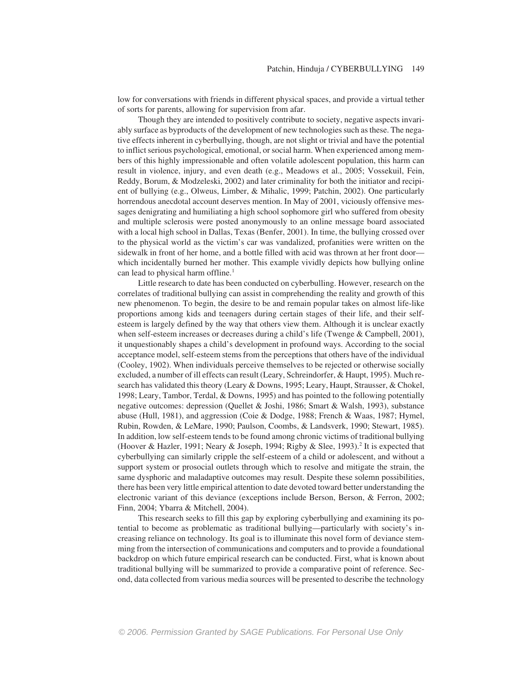low for conversations with friends in different physical spaces, and provide a virtual tether of sorts for parents, allowing for supervision from afar.

Though they are intended to positively contribute to society, negative aspects invariably surface as byproducts of the development of new technologies such as these. The negative effects inherent in cyberbullying, though, are not slight or trivial and have the potential to inflict serious psychological, emotional, or social harm. When experienced among members of this highly impressionable and often volatile adolescent population, this harm can result in violence, injury, and even death (e.g., Meadows et al., 2005; Vossekuil, Fein, Reddy, Borum, & Modzeleski, 2002) and later criminality for both the initiator and recipient of bullying (e.g., Olweus, Limber, & Mihalic, 1999; Patchin, 2002). One particularly horrendous anecdotal account deserves mention. In May of 2001, viciously offensive messages denigrating and humiliating a high school sophomore girl who suffered from obesity and multiple sclerosis were posted anonymously to an online message board associated with a local high school in Dallas, Texas (Benfer, 2001). In time, the bullying crossed over to the physical world as the victim's car was vandalized, profanities were written on the sidewalk in front of her home, and a bottle filled with acid was thrown at her front door which incidentally burned her mother. This example vividly depicts how bullying online can lead to physical harm offline.<sup>1</sup>

Little research to date has been conducted on cyberbulling. However, research on the correlates of traditional bullying can assist in comprehending the reality and growth of this new phenomenon. To begin, the desire to be and remain popular takes on almost life-like proportions among kids and teenagers during certain stages of their life, and their selfesteem is largely defined by the way that others view them. Although it is unclear exactly when self-esteem increases or decreases during a child's life (Twenge & Campbell, 2001), it unquestionably shapes a child's development in profound ways. According to the social acceptance model, self-esteem stems from the perceptions that others have of the individual (Cooley, 1902). When individuals perceive themselves to be rejected or otherwise socially excluded, a number of ill effects can result (Leary, Schreindorfer, & Haupt, 1995). Much research has validated this theory (Leary & Downs, 1995; Leary, Haupt, Strausser, & Chokel, 1998; Leary, Tambor, Terdal, & Downs, 1995) and has pointed to the following potentially negative outcomes: depression (Quellet & Joshi, 1986; Smart & Walsh, 1993), substance abuse (Hull, 1981), and aggression (Coie & Dodge, 1988; French & Waas, 1987; Hymel, Rubin, Rowden, & LeMare, 1990; Paulson, Coombs, & Landsverk, 1990; Stewart, 1985). In addition, low self-esteem tends to be found among chronic victims of traditional bullying (Hoover & Hazler, 1991; Neary & Joseph, 1994; Rigby & Slee, 1993).<sup>2</sup> It is expected that cyberbullying can similarly cripple the self-esteem of a child or adolescent, and without a support system or prosocial outlets through which to resolve and mitigate the strain, the same dysphoric and maladaptive outcomes may result. Despite these solemn possibilities, there has been very little empirical attention to date devoted toward better understanding the electronic variant of this deviance (exceptions include Berson, Berson, & Ferron, 2002; Finn, 2004; Ybarra & Mitchell, 2004).

This research seeks to fill this gap by exploring cyberbullying and examining its potential to become as problematic as traditional bullying—particularly with society's increasing reliance on technology. Its goal is to illuminate this novel form of deviance stemming from the intersection of communications and computers and to provide a foundational backdrop on which future empirical research can be conducted. First, what is known about traditional bullying will be summarized to provide a comparative point of reference. Second, data collected from various media sources will be presented to describe the technology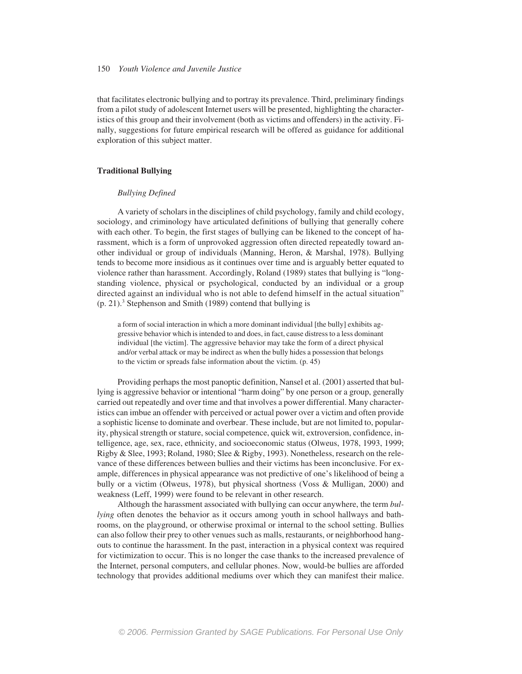that facilitates electronic bullying and to portray its prevalence. Third, preliminary findings from a pilot study of adolescent Internet users will be presented, highlighting the characteristics of this group and their involvement (both as victims and offenders) in the activity. Finally, suggestions for future empirical research will be offered as guidance for additional exploration of this subject matter.

#### **Traditional Bullying**

## *Bullying Defined*

A variety of scholars in the disciplines of child psychology, family and child ecology, sociology, and criminology have articulated definitions of bullying that generally cohere with each other. To begin, the first stages of bullying can be likened to the concept of harassment, which is a form of unprovoked aggression often directed repeatedly toward another individual or group of individuals (Manning, Heron, & Marshal, 1978). Bullying tends to become more insidious as it continues over time and is arguably better equated to violence rather than harassment. Accordingly, Roland (1989) states that bullying is "longstanding violence, physical or psychological, conducted by an individual or a group directed against an individual who is not able to defend himself in the actual situation"  $(p. 21)$ .<sup>3</sup> Stephenson and Smith (1989) contend that bullying is

a form of social interaction in which a more dominant individual [the bully] exhibits aggressive behavior which is intended to and does, in fact, cause distress to a less dominant individual [the victim]. The aggressive behavior may take the form of a direct physical and/or verbal attack or may be indirect as when the bully hides a possession that belongs to the victim or spreads false information about the victim. (p. 45)

Providing perhaps the most panoptic definition, Nansel et al. (2001) asserted that bullying is aggressive behavior or intentional "harm doing" by one person or a group, generally carried out repeatedly and over time and that involves a power differential. Many characteristics can imbue an offender with perceived or actual power over a victim and often provide a sophistic license to dominate and overbear. These include, but are not limited to, popularity, physical strength or stature, social competence, quick wit, extroversion, confidence, intelligence, age, sex, race, ethnicity, and socioeconomic status (Olweus, 1978, 1993, 1999; Rigby & Slee, 1993; Roland, 1980; Slee & Rigby, 1993). Nonetheless, research on the relevance of these differences between bullies and their victims has been inconclusive. For example, differences in physical appearance was not predictive of one's likelihood of being a bully or a victim (Olweus, 1978), but physical shortness (Voss & Mulligan, 2000) and weakness (Leff, 1999) were found to be relevant in other research.

Although the harassment associated with bullying can occur anywhere, the term *bullying* often denotes the behavior as it occurs among youth in school hallways and bathrooms, on the playground, or otherwise proximal or internal to the school setting. Bullies can also follow their prey to other venues such as malls, restaurants, or neighborhood hangouts to continue the harassment. In the past, interaction in a physical context was required for victimization to occur. This is no longer the case thanks to the increased prevalence of the Internet, personal computers, and cellular phones. Now, would-be bullies are afforded technology that provides additional mediums over which they can manifest their malice.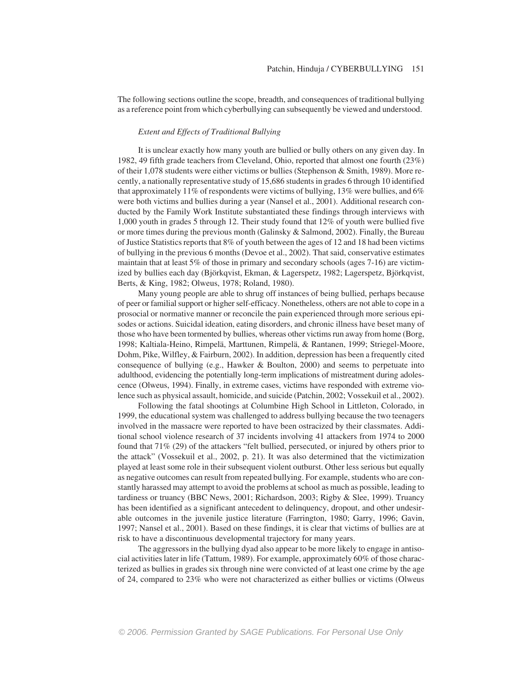The following sections outline the scope, breadth, and consequences of traditional bullying as a reference point from which cyberbullying can subsequently be viewed and understood.

#### *Extent and Effects of Traditional Bullying*

It is unclear exactly how many youth are bullied or bully others on any given day. In 1982, 49 fifth grade teachers from Cleveland, Ohio, reported that almost one fourth (23%) of their 1,078 students were either victims or bullies (Stephenson & Smith, 1989). More recently, a nationally representative study of 15,686 students in grades 6 through 10 identified that approximately 11% of respondents were victims of bullying, 13% were bullies, and 6% were both victims and bullies during a year (Nansel et al., 2001). Additional research conducted by the Family Work Institute substantiated these findings through interviews with 1,000 youth in grades 5 through 12. Their study found that 12% of youth were bullied five or more times during the previous month (Galinsky & Salmond, 2002). Finally, the Bureau of Justice Statistics reports that 8% of youth between the ages of 12 and 18 had been victims of bullying in the previous 6 months (Devoe et al., 2002). That said, conservative estimates maintain that at least 5% of those in primary and secondary schools (ages 7-16) are victimized by bullies each day (Björkqvist, Ekman, & Lagerspetz, 1982; Lagerspetz, Björkqvist, Berts, & King, 1982; Olweus, 1978; Roland, 1980).

Many young people are able to shrug off instances of being bullied, perhaps because of peer or familial support or higher self-efficacy. Nonetheless, others are not able to cope in a prosocial or normative manner or reconcile the pain experienced through more serious episodes or actions. Suicidal ideation, eating disorders, and chronic illness have beset many of those who have been tormented by bullies, whereas other victims run away from home (Borg, 1998; Kaltiala-Heino, Rimpelä, Marttunen, Rimpelä, & Rantanen, 1999; Striegel-Moore, Dohm, Pike, Wilfley, & Fairburn, 2002). In addition, depression has been a frequently cited consequence of bullying (e.g., Hawker & Boulton, 2000) and seems to perpetuate into adulthood, evidencing the potentially long-term implications of mistreatment during adolescence (Olweus, 1994). Finally, in extreme cases, victims have responded with extreme violence such as physical assault, homicide, and suicide (Patchin, 2002; Vossekuil et al., 2002).

Following the fatal shootings at Columbine High School in Littleton, Colorado, in 1999, the educational system was challenged to address bullying because the two teenagers involved in the massacre were reported to have been ostracized by their classmates. Additional school violence research of 37 incidents involving 41 attackers from 1974 to 2000 found that 71% (29) of the attackers "felt bullied, persecuted, or injured by others prior to the attack" (Vossekuil et al., 2002, p. 21). It was also determined that the victimization played at least some role in their subsequent violent outburst. Other less serious but equally as negative outcomes can result from repeated bullying. For example, students who are constantly harassed may attempt to avoid the problems at school as much as possible, leading to tardiness or truancy (BBC News, 2001; Richardson, 2003; Rigby & Slee, 1999). Truancy has been identified as a significant antecedent to delinquency, dropout, and other undesirable outcomes in the juvenile justice literature (Farrington, 1980; Garry, 1996; Gavin, 1997; Nansel et al., 2001). Based on these findings, it is clear that victims of bullies are at risk to have a discontinuous developmental trajectory for many years.

The aggressors in the bullying dyad also appear to be more likely to engage in antisocial activities later in life (Tattum, 1989). For example, approximately 60% of those characterized as bullies in grades six through nine were convicted of at least one crime by the age of 24, compared to 23% who were not characterized as either bullies or victims (Olweus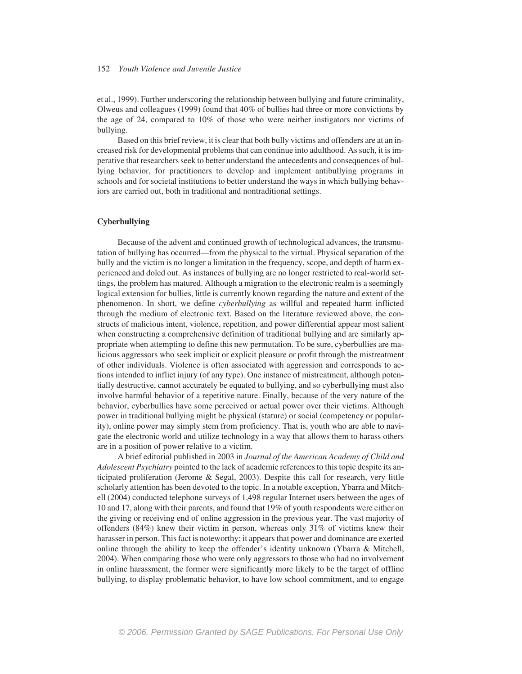et al., 1999). Further underscoring the relationship between bullying and future criminality, Olweus and colleagues (1999) found that 40% of bullies had three or more convictions by the age of 24, compared to 10% of those who were neither instigators nor victims of bullying.

Based on this brief review, it is clear that both bully victims and offenders are at an increased risk for developmental problems that can continue into adulthood. As such, it is imperative that researchers seek to better understand the antecedents and consequences of bullying behavior, for practitioners to develop and implement antibullying programs in schools and for societal institutions to better understand the ways in which bullying behaviors are carried out, both in traditional and nontraditional settings.

#### **Cyberbullying**

Because of the advent and continued growth of technological advances, the transmutation of bullying has occurred—from the physical to the virtual. Physical separation of the bully and the victim is no longer a limitation in the frequency, scope, and depth of harm experienced and doled out. As instances of bullying are no longer restricted to real-world settings, the problem has matured. Although a migration to the electronic realm is a seemingly logical extension for bullies, little is currently known regarding the nature and extent of the phenomenon. In short, we define *cyberbullying* as willful and repeated harm inflicted through the medium of electronic text. Based on the literature reviewed above, the constructs of malicious intent, violence, repetition, and power differential appear most salient when constructing a comprehensive definition of traditional bullying and are similarly appropriate when attempting to define this new permutation. To be sure, cyberbullies are malicious aggressors who seek implicit or explicit pleasure or profit through the mistreatment of other individuals. Violence is often associated with aggression and corresponds to actions intended to inflict injury (of any type). One instance of mistreatment, although potentially destructive, cannot accurately be equated to bullying, and so cyberbullying must also involve harmful behavior of a repetitive nature. Finally, because of the very nature of the behavior, cyberbullies have some perceived or actual power over their victims. Although power in traditional bullying might be physical (stature) or social (competency or popularity), online power may simply stem from proficiency. That is, youth who are able to navigate the electronic world and utilize technology in a way that allows them to harass others are in a position of power relative to a victim.

A brief editorial published in 2003 in *Journal of the American Academy of Child and Adolescent Psychiatry* pointed to the lack of academic references to this topic despite its anticipated proliferation (Jerome & Segal, 2003). Despite this call for research, very little scholarly attention has been devoted to the topic. In a notable exception, Ybarra and Mitchell (2004) conducted telephone surveys of 1,498 regular Internet users between the ages of 10 and 17, along with their parents, and found that 19% of youth respondents were either on the giving or receiving end of online aggression in the previous year. The vast majority of offenders  $(84%)$  knew their victim in person, whereas only  $31%$  of victims knew their harasser in person. This fact is noteworthy; it appears that power and dominance are exerted online through the ability to keep the offender's identity unknown (Ybarra  $\&$  Mitchell, 2004). When comparing those who were only aggressors to those who had no involvement in online harassment, the former were significantly more likely to be the target of offline bullying, to display problematic behavior, to have low school commitment, and to engage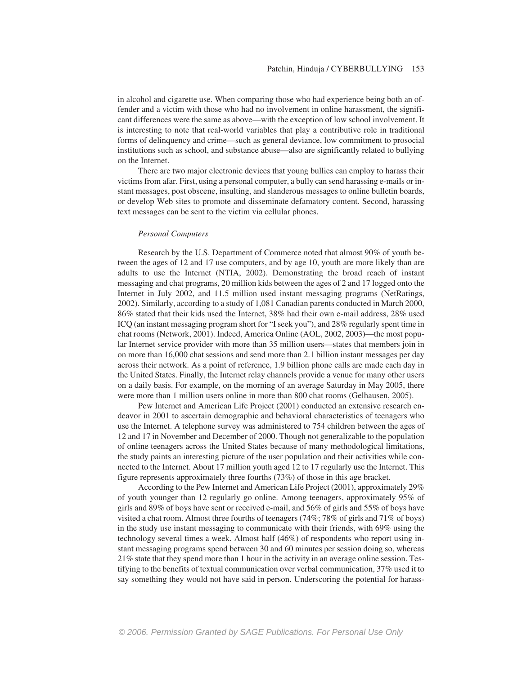in alcohol and cigarette use. When comparing those who had experience being both an offender and a victim with those who had no involvement in online harassment, the significant differences were the same as above—with the exception of low school involvement. It is interesting to note that real-world variables that play a contributive role in traditional forms of delinquency and crime—such as general deviance, low commitment to prosocial institutions such as school, and substance abuse—also are significantly related to bullying on the Internet.

There are two major electronic devices that young bullies can employ to harass their victims from afar. First, using a personal computer, a bully can send harassing e-mails or instant messages, post obscene, insulting, and slanderous messages to online bulletin boards, or develop Web sites to promote and disseminate defamatory content. Second, harassing text messages can be sent to the victim via cellular phones.

#### *Personal Computers*

Research by the U.S. Department of Commerce noted that almost 90% of youth between the ages of 12 and 17 use computers, and by age 10, youth are more likely than are adults to use the Internet (NTIA, 2002). Demonstrating the broad reach of instant messaging and chat programs, 20 million kids between the ages of 2 and 17 logged onto the Internet in July 2002, and 11.5 million used instant messaging programs (NetRatings, 2002). Similarly, according to a study of 1,081 Canadian parents conducted in March 2000, 86% stated that their kids used the Internet, 38% had their own e-mail address, 28% used ICQ (an instant messaging program short for "I seek you"), and 28% regularly spent time in chat rooms (Network, 2001). Indeed, America Online (AOL, 2002, 2003)—the most popular Internet service provider with more than 35 million users—states that members join in on more than 16,000 chat sessions and send more than 2.1 billion instant messages per day across their network. As a point of reference, 1.9 billion phone calls are made each day in the United States. Finally, the Internet relay channels provide a venue for many other users on a daily basis. For example, on the morning of an average Saturday in May 2005, there were more than 1 million users online in more than 800 chat rooms (Gelhausen, 2005).

Pew Internet and American Life Project (2001) conducted an extensive research endeavor in 2001 to ascertain demographic and behavioral characteristics of teenagers who use the Internet. A telephone survey was administered to 754 children between the ages of 12 and 17 in November and December of 2000. Though not generalizable to the population of online teenagers across the United States because of many methodological limitations, the study paints an interesting picture of the user population and their activities while connected to the Internet. About 17 million youth aged 12 to 17 regularly use the Internet. This figure represents approximately three fourths (73%) of those in this age bracket.

According to the Pew Internet and American Life Project (2001), approximately 29% of youth younger than 12 regularly go online. Among teenagers, approximately 95% of girls and 89% of boys have sent or received e-mail, and 56% of girls and 55% of boys have visited a chat room. Almost three fourths of teenagers (74%; 78% of girls and 71% of boys) in the study use instant messaging to communicate with their friends, with 69% using the technology several times a week. Almost half (46%) of respondents who report using instant messaging programs spend between 30 and 60 minutes per session doing so, whereas 21% state that they spend more than 1 hour in the activity in an average online session. Testifying to the benefits of textual communication over verbal communication, 37% used it to say something they would not have said in person. Underscoring the potential for harass-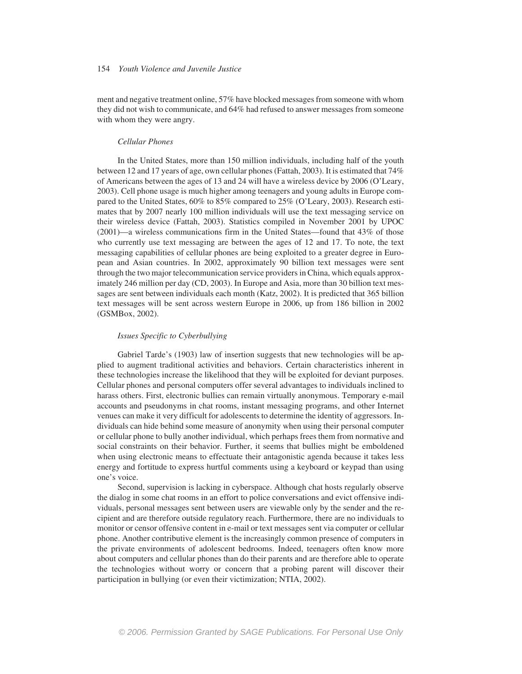ment and negative treatment online, 57% have blocked messages from someone with whom they did not wish to communicate, and 64% had refused to answer messages from someone with whom they were angry.

#### *Cellular Phones*

In the United States, more than 150 million individuals, including half of the youth between 12 and 17 years of age, own cellular phones (Fattah, 2003). It is estimated that 74% of Americans between the ages of 13 and 24 will have a wireless device by 2006 (O'Leary, 2003). Cell phone usage is much higher among teenagers and young adults in Europe compared to the United States, 60% to 85% compared to 25% (O'Leary, 2003). Research estimates that by 2007 nearly 100 million individuals will use the text messaging service on their wireless device (Fattah, 2003). Statistics compiled in November 2001 by UPOC (2001)—a wireless communications firm in the United States—found that 43% of those who currently use text messaging are between the ages of 12 and 17. To note, the text messaging capabilities of cellular phones are being exploited to a greater degree in European and Asian countries. In 2002, approximately 90 billion text messages were sent through the two major telecommunication service providers in China, which equals approximately 246 million per day (CD, 2003). In Europe and Asia, more than 30 billion text messages are sent between individuals each month (Katz, 2002). It is predicted that 365 billion text messages will be sent across western Europe in 2006, up from 186 billion in 2002 (GSMBox, 2002).

#### *Issues Specific to Cyberbullying*

Gabriel Tarde's (1903) law of insertion suggests that new technologies will be applied to augment traditional activities and behaviors. Certain characteristics inherent in these technologies increase the likelihood that they will be exploited for deviant purposes. Cellular phones and personal computers offer several advantages to individuals inclined to harass others. First, electronic bullies can remain virtually anonymous. Temporary e-mail accounts and pseudonyms in chat rooms, instant messaging programs, and other Internet venues can make it very difficult for adolescents to determine the identity of aggressors. Individuals can hide behind some measure of anonymity when using their personal computer or cellular phone to bully another individual, which perhaps frees them from normative and social constraints on their behavior. Further, it seems that bullies might be emboldened when using electronic means to effectuate their antagonistic agenda because it takes less energy and fortitude to express hurtful comments using a keyboard or keypad than using one's voice.

Second, supervision is lacking in cyberspace. Although chat hosts regularly observe the dialog in some chat rooms in an effort to police conversations and evict offensive individuals, personal messages sent between users are viewable only by the sender and the recipient and are therefore outside regulatory reach. Furthermore, there are no individuals to monitor or censor offensive content in e-mail or text messages sent via computer or cellular phone. Another contributive element is the increasingly common presence of computers in the private environments of adolescent bedrooms. Indeed, teenagers often know more about computers and cellular phones than do their parents and are therefore able to operate the technologies without worry or concern that a probing parent will discover their participation in bullying (or even their victimization; NTIA, 2002).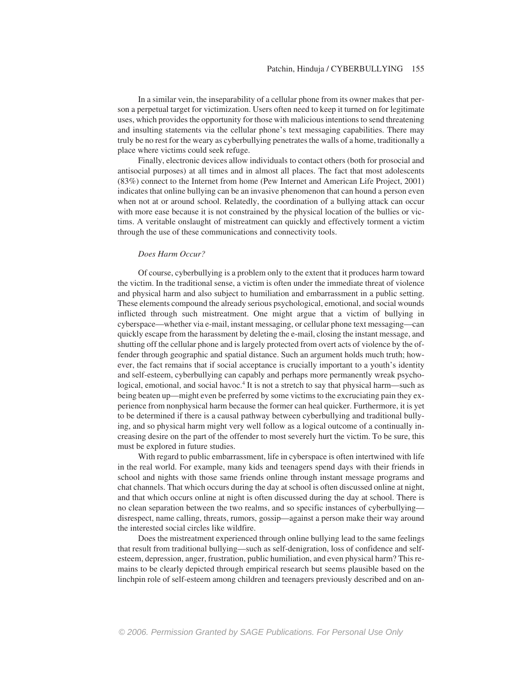In a similar vein, the inseparability of a cellular phone from its owner makes that person a perpetual target for victimization. Users often need to keep it turned on for legitimate uses, which provides the opportunity for those with malicious intentions to send threatening and insulting statements via the cellular phone's text messaging capabilities. There may truly be no rest for the weary as cyberbullying penetrates the walls of a home, traditionally a place where victims could seek refuge.

Finally, electronic devices allow individuals to contact others (both for prosocial and antisocial purposes) at all times and in almost all places. The fact that most adolescents (83%) connect to the Internet from home (Pew Internet and American Life Project, 2001) indicates that online bullying can be an invasive phenomenon that can hound a person even when not at or around school. Relatedly, the coordination of a bullying attack can occur with more ease because it is not constrained by the physical location of the bullies or victims. A veritable onslaught of mistreatment can quickly and effectively torment a victim through the use of these communications and connectivity tools.

#### *Does Harm Occur?*

Of course, cyberbullying is a problem only to the extent that it produces harm toward the victim. In the traditional sense, a victim is often under the immediate threat of violence and physical harm and also subject to humiliation and embarrassment in a public setting. These elements compound the already serious psychological, emotional, and social wounds inflicted through such mistreatment. One might argue that a victim of bullying in cyberspace—whether via e-mail, instant messaging, or cellular phone text messaging—can quickly escape from the harassment by deleting the e-mail, closing the instant message, and shutting off the cellular phone and is largely protected from overt acts of violence by the offender through geographic and spatial distance. Such an argument holds much truth; however, the fact remains that if social acceptance is crucially important to a youth's identity and self-esteem, cyberbullying can capably and perhaps more permanently wreak psychological, emotional, and social havoc.<sup>4</sup> It is not a stretch to say that physical harm—such as being beaten up—might even be preferred by some victims to the excruciating pain they experience from nonphysical harm because the former can heal quicker. Furthermore, it is yet to be determined if there is a causal pathway between cyberbullying and traditional bullying, and so physical harm might very well follow as a logical outcome of a continually increasing desire on the part of the offender to most severely hurt the victim. To be sure, this must be explored in future studies.

With regard to public embarrassment, life in cyberspace is often intertwined with life in the real world. For example, many kids and teenagers spend days with their friends in school and nights with those same friends online through instant message programs and chat channels. That which occurs during the day at school is often discussed online at night, and that which occurs online at night is often discussed during the day at school. There is no clean separation between the two realms, and so specific instances of cyberbullying disrespect, name calling, threats, rumors, gossip—against a person make their way around the interested social circles like wildfire.

Does the mistreatment experienced through online bullying lead to the same feelings that result from traditional bullying—such as self-denigration, loss of confidence and selfesteem, depression, anger, frustration, public humiliation, and even physical harm? This remains to be clearly depicted through empirical research but seems plausible based on the linchpin role of self-esteem among children and teenagers previously described and on an-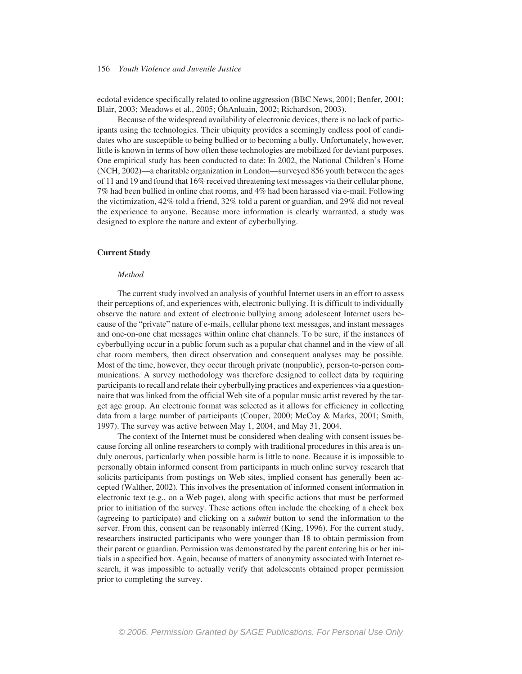ecdotal evidence specifically related to online aggression (BBC News, 2001; Benfer, 2001; Blair, 2003; Meadows et al., 2005; ÓhAnluain, 2002; Richardson, 2003).

Because of the widespread availability of electronic devices, there is no lack of participants using the technologies. Their ubiquity provides a seemingly endless pool of candidates who are susceptible to being bullied or to becoming a bully. Unfortunately, however, little is known in terms of how often these technologies are mobilized for deviant purposes. One empirical study has been conducted to date: In 2002, the National Children's Home (NCH, 2002)—a charitable organization in London—surveyed 856 youth between the ages of 11 and 19 and found that 16% received threatening text messages via their cellular phone, 7% had been bullied in online chat rooms, and 4% had been harassed via e-mail. Following the victimization, 42% told a friend, 32% told a parent or guardian, and 29% did not reveal the experience to anyone. Because more information is clearly warranted, a study was designed to explore the nature and extent of cyberbullying.

#### **Current Study**

## *Method*

The current study involved an analysis of youthful Internet users in an effort to assess their perceptions of, and experiences with, electronic bullying. It is difficult to individually observe the nature and extent of electronic bullying among adolescent Internet users because of the "private" nature of e-mails, cellular phone text messages, and instant messages and one-on-one chat messages within online chat channels. To be sure, if the instances of cyberbullying occur in a public forum such as a popular chat channel and in the view of all chat room members, then direct observation and consequent analyses may be possible. Most of the time, however, they occur through private (nonpublic), person-to-person communications. A survey methodology was therefore designed to collect data by requiring participants to recall and relate their cyberbullying practices and experiences via a questionnaire that was linked from the official Web site of a popular music artist revered by the target age group. An electronic format was selected as it allows for efficiency in collecting data from a large number of participants (Couper, 2000; McCoy & Marks, 2001; Smith, 1997). The survey was active between May 1, 2004, and May 31, 2004.

The context of the Internet must be considered when dealing with consent issues because forcing all online researchers to comply with traditional procedures in this area is unduly onerous, particularly when possible harm is little to none. Because it is impossible to personally obtain informed consent from participants in much online survey research that solicits participants from postings on Web sites, implied consent has generally been accepted (Walther, 2002). This involves the presentation of informed consent information in electronic text (e.g., on a Web page), along with specific actions that must be performed prior to initiation of the survey. These actions often include the checking of a check box (agreeing to participate) and clicking on a *submit* button to send the information to the server. From this, consent can be reasonably inferred (King, 1996). For the current study, researchers instructed participants who were younger than 18 to obtain permission from their parent or guardian. Permission was demonstrated by the parent entering his or her initials in a specified box. Again, because of matters of anonymity associated with Internet research, it was impossible to actually verify that adolescents obtained proper permission prior to completing the survey.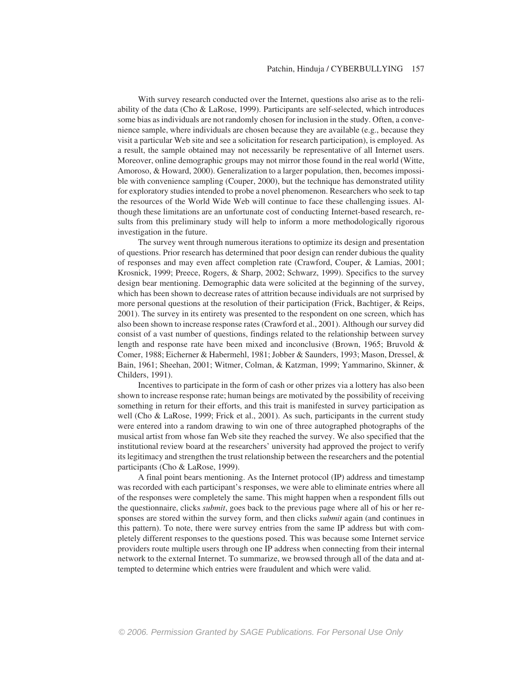With survey research conducted over the Internet, questions also arise as to the reliability of the data (Cho & LaRose, 1999). Participants are self-selected, which introduces some bias as individuals are not randomly chosen for inclusion in the study. Often, a convenience sample, where individuals are chosen because they are available (e.g., because they visit a particular Web site and see a solicitation for research participation), is employed. As a result, the sample obtained may not necessarily be representative of all Internet users. Moreover, online demographic groups may not mirror those found in the real world (Witte, Amoroso, & Howard, 2000). Generalization to a larger population, then, becomes impossible with convenience sampling (Couper, 2000), but the technique has demonstrated utility for exploratory studies intended to probe a novel phenomenon. Researchers who seek to tap the resources of the World Wide Web will continue to face these challenging issues. Although these limitations are an unfortunate cost of conducting Internet-based research, results from this preliminary study will help to inform a more methodologically rigorous investigation in the future.

The survey went through numerous iterations to optimize its design and presentation of questions. Prior research has determined that poor design can render dubious the quality of responses and may even affect completion rate (Crawford, Couper, & Lamias, 2001; Krosnick, 1999; Preece, Rogers, & Sharp, 2002; Schwarz, 1999). Specifics to the survey design bear mentioning. Demographic data were solicited at the beginning of the survey, which has been shown to decrease rates of attrition because individuals are not surprised by more personal questions at the resolution of their participation (Frick, Bachtiger, & Reips, 2001). The survey in its entirety was presented to the respondent on one screen, which has also been shown to increase response rates (Crawford et al., 2001). Although our survey did consist of a vast number of questions, findings related to the relationship between survey length and response rate have been mixed and inconclusive (Brown, 1965; Bruvold & Comer, 1988; Eicherner & Habermehl, 1981; Jobber & Saunders, 1993; Mason, Dressel, & Bain, 1961; Sheehan, 2001; Witmer, Colman, & Katzman, 1999; Yammarino, Skinner, & Childers, 1991).

Incentives to participate in the form of cash or other prizes via a lottery has also been shown to increase response rate; human beings are motivated by the possibility of receiving something in return for their efforts, and this trait is manifested in survey participation as well (Cho & LaRose, 1999; Frick et al., 2001). As such, participants in the current study were entered into a random drawing to win one of three autographed photographs of the musical artist from whose fan Web site they reached the survey. We also specified that the institutional review board at the researchers' university had approved the project to verify its legitimacy and strengthen the trust relationship between the researchers and the potential participants (Cho & LaRose, 1999).

A final point bears mentioning. As the Internet protocol (IP) address and timestamp was recorded with each participant's responses, we were able to eliminate entries where all of the responses were completely the same. This might happen when a respondent fills out the questionnaire, clicks *submit*, goes back to the previous page where all of his or her responses are stored within the survey form, and then clicks *submit* again (and continues in this pattern). To note, there were survey entries from the same IP address but with completely different responses to the questions posed. This was because some Internet service providers route multiple users through one IP address when connecting from their internal network to the external Internet. To summarize, we browsed through all of the data and attempted to determine which entries were fraudulent and which were valid.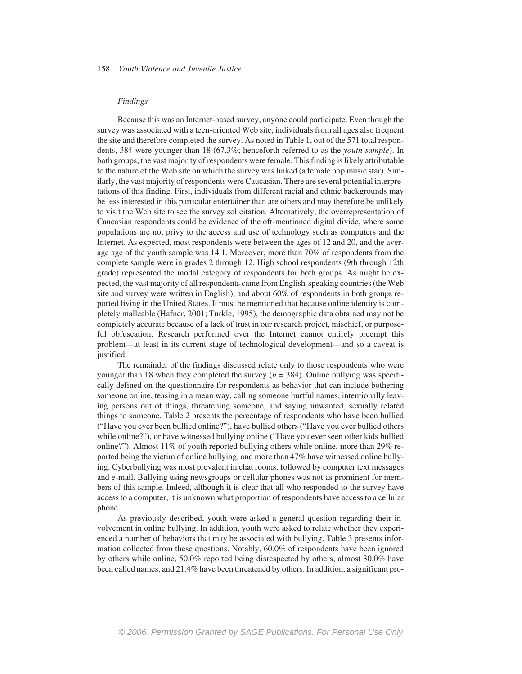#### *Findings*

Because this was an Internet-based survey, anyone could participate. Even though the survey was associated with a teen-oriented Web site, individuals from all ages also frequent the site and therefore completed the survey. As noted in Table 1, out of the 571 total respondents, 384 were younger than 18 (67.3%; henceforth referred to as the *youth sample*). In both groups, the vast majority of respondents were female. This finding is likely attributable to the nature of the Web site on which the survey was linked (a female pop music star). Similarly, the vast majority of respondents were Caucasian. There are several potential interpretations of this finding. First, individuals from different racial and ethnic backgrounds may be less interested in this particular entertainer than are others and may therefore be unlikely to visit the Web site to see the survey solicitation. Alternatively, the overrepresentation of Caucasian respondents could be evidence of the oft-mentioned digital divide, where some populations are not privy to the access and use of technology such as computers and the Internet. As expected, most respondents were between the ages of 12 and 20, and the average age of the youth sample was 14.1. Moreover, more than 70% of respondents from the complete sample were in grades 2 through 12. High school respondents (9th through 12th grade) represented the modal category of respondents for both groups. As might be expected, the vast majority of all respondents came from English-speaking countries (the Web site and survey were written in English), and about 60% of respondents in both groups reported living in the United States. It must be mentioned that because online identity is completely malleable (Hafner, 2001; Turkle, 1995), the demographic data obtained may not be completely accurate because of a lack of trust in our research project, mischief, or purposeful obfuscation. Research performed over the Internet cannot entirely preempt this problem—at least in its current stage of technological development—and so a caveat is justified.

The remainder of the findings discussed relate only to those respondents who were younger than 18 when they completed the survey  $(n = 384)$ . Online bullying was specifically defined on the questionnaire for respondents as behavior that can include bothering someone online, teasing in a mean way, calling someone hurtful names, intentionally leaving persons out of things, threatening someone, and saying unwanted, sexually related things to someone. Table 2 presents the percentage of respondents who have been bullied ("Have you ever been bullied online?"), have bullied others ("Have you ever bullied others while online?"), or have witnessed bullying online ("Have you ever seen other kids bullied online?"). Almost 11% of youth reported bullying others while online, more than 29% reported being the victim of online bullying, and more than 47% have witnessed online bullying. Cyberbullying was most prevalent in chat rooms, followed by computer text messages and e-mail. Bullying using newsgroups or cellular phones was not as prominent for members of this sample. Indeed, although it is clear that all who responded to the survey have access to a computer, it is unknown what proportion of respondents have access to a cellular phone.

As previously described, youth were asked a general question regarding their involvement in online bullying. In addition, youth were asked to relate whether they experienced a number of behaviors that may be associated with bullying. Table 3 presents information collected from these questions. Notably, 60.0% of respondents have been ignored by others while online, 50.0% reported being disrespected by others, almost 30.0% have been called names, and 21.4% have been threatened by others. In addition, a significant pro-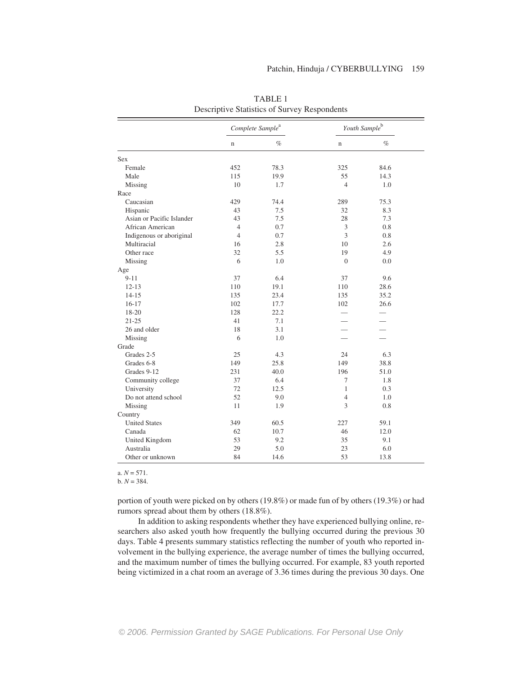|                           | Complete Sample <sup>a</sup> |      |                | Youth Sample <sup>b</sup> |  |
|---------------------------|------------------------------|------|----------------|---------------------------|--|
|                           | $\mathbf n$                  | $\%$ | $\mathbf n$    | $\%$                      |  |
| Sex                       |                              |      |                |                           |  |
| Female                    | 452                          | 78.3 | 325            | 84.6                      |  |
| Male                      | 115                          | 19.9 | 55             | 14.3                      |  |
| Missing                   | 10                           | 1.7  | $\overline{4}$ | 1.0                       |  |
| Race                      |                              |      |                |                           |  |
| Caucasian                 | 429                          | 74.4 | 289            | 75.3                      |  |
| Hispanic                  | 43                           | 7.5  | 32             | 8.3                       |  |
| Asian or Pacific Islander | 43                           | 7.5  | 28             | 7.3                       |  |
| African American          | $\overline{4}$               | 0.7  | 3              | 0.8                       |  |
| Indigenous or aboriginal  | $\overline{4}$               | 0.7  | 3              | 0.8                       |  |
| Multiracial               | 16                           | 2.8  | 10             | 2.6                       |  |
| Other race                | 32                           | 5.5  | 19             | 4.9                       |  |
| Missing                   | 6                            | 1.0  | $\Omega$       | 0.0                       |  |
| Age                       |                              |      |                |                           |  |
| $9 - 11$                  | 37                           | 6.4  | 37             | 9.6                       |  |
| $12 - 13$                 | 110                          | 19.1 | 110            | 28.6                      |  |
| $14 - 15$                 | 135                          | 23.4 | 135            | 35.2                      |  |
| $16 - 17$                 | 102                          | 17.7 | 102            | 26.6                      |  |
| 18-20                     | 128                          | 22.2 |                |                           |  |
| $21 - 25$                 | 41                           | 7.1  |                |                           |  |
| 26 and older              | 18                           | 3.1  |                |                           |  |
| Missing                   | 6                            | 1.0  |                |                           |  |
| Grade                     |                              |      |                |                           |  |
| Grades 2-5                | 25                           | 4.3  | 24             | 6.3                       |  |
| Grades 6-8                | 149                          | 25.8 | 149            | 38.8                      |  |
| Grades 9-12               | 231                          | 40.0 | 196            | 51.0                      |  |
| Community college         | 37                           | 6.4  | 7              | 1.8                       |  |
| University                | 72                           | 12.5 | $\mathbf{1}$   | 0.3                       |  |
| Do not attend school      | 52                           | 9.0  | $\overline{4}$ | 1.0                       |  |
| Missing                   | 11                           | 1.9  | 3              | 0.8                       |  |
| Country                   |                              |      |                |                           |  |
| <b>United States</b>      | 349                          | 60.5 | 227            | 59.1                      |  |
| Canada                    | 62                           | 10.7 | 46             | 12.0                      |  |
| United Kingdom            | 53                           | 9.2  | 35             | 9.1                       |  |
| Australia                 | 29                           | 5.0  | 23             | 6.0                       |  |
| Other or unknown          | 84                           | 14.6 | 53             | 13.8                      |  |

TABLE 1 Descriptive Statistics of Survey Respondents

a.  $N = 571$ .

 $b. N = 384.$ 

portion of youth were picked on by others (19.8%) or made fun of by others (19.3%) or had rumors spread about them by others (18.8%).

In addition to asking respondents whether they have experienced bullying online, researchers also asked youth how frequently the bullying occurred during the previous 30 days. Table 4 presents summary statistics reflecting the number of youth who reported involvement in the bullying experience, the average number of times the bullying occurred, and the maximum number of times the bullying occurred. For example, 83 youth reported being victimized in a chat room an average of 3.36 times during the previous 30 days. One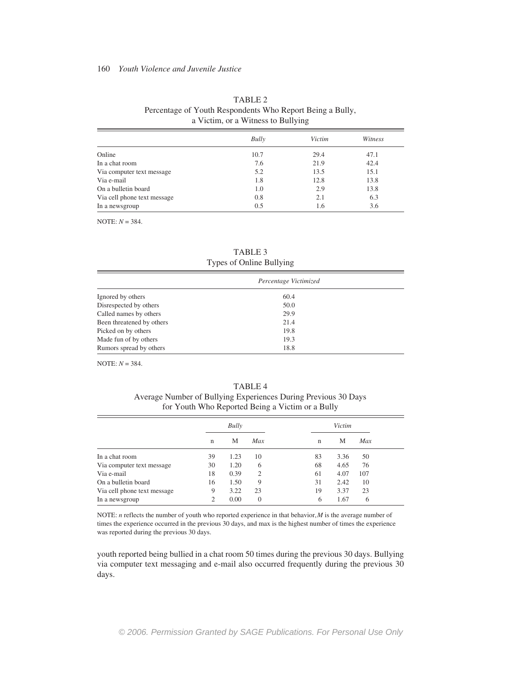|                             | a Victim, or a Witness to Bullying |        |         |  |  |
|-----------------------------|------------------------------------|--------|---------|--|--|
|                             | Bully                              | Victim | Witness |  |  |
| Online                      | 10.7                               | 29.4   | 47.1    |  |  |
| In a chat room              | 7.6                                | 21.9   | 42.4    |  |  |
| Via computer text message   | 5.2                                | 13.5   | 15.1    |  |  |
| Via e-mail                  | 1.8                                | 12.8   | 13.8    |  |  |
| On a bulletin board         | 1.0                                | 2.9    | 13.8    |  |  |
| Via cell phone text message | 0.8                                | 2.1    | 6.3     |  |  |

In a newsgroup 0.5 1.6 3.6

TABLE 2 Percentage of Youth Respondents Who Report Being a Bully, a Victim, or a Witness to Bullying

NOTE: *N* = 384.

TABLE 3 Types of Online Bullying

|                           | Percentage Victimized |  |
|---------------------------|-----------------------|--|
| Ignored by others         | 60.4                  |  |
| Disrespected by others    | 50.0                  |  |
| Called names by others    | 29.9                  |  |
| Been threatened by others | 21.4                  |  |
| Picked on by others       | 19.8                  |  |
| Made fun of by others     | 19.3                  |  |
| Rumors spread by others   | 18.8                  |  |

NOTE: *N* = 384.

TABLE 4 Average Number of Bullying Experiences During Previous 30 Days

for Youth Who Reported Being a Victim or a Bully

|                             | Bully       |      | Victim   |    |      |     |
|-----------------------------|-------------|------|----------|----|------|-----|
|                             | $\mathbf n$ | М    | Max      | n  | М    | Max |
| In a chat room              | 39          | 1.23 | 10       | 83 | 3.36 | 50  |
| Via computer text message   | 30          | 1.20 | 6        | 68 | 4.65 | 76  |
| Via e-mail                  | 18          | 0.39 | 2        | 61 | 4.07 | 107 |
| On a bulletin board         | 16          | 1.50 | 9        | 31 | 2.42 | 10  |
| Via cell phone text message | 9           | 3.22 | 23       | 19 | 3.37 | 23  |
| In a newsgroup              | 2           | 0.00 | $\theta$ | 6  | 1.67 | 6   |

NOTE: *n* reflects the number of youth who reported experience in that behavior,*M* is the average number of times the experience occurred in the previous 30 days, and max is the highest number of times the experience was reported during the previous 30 days.

youth reported being bullied in a chat room 50 times during the previous 30 days. Bullying via computer text messaging and e-mail also occurred frequently during the previous 30 days.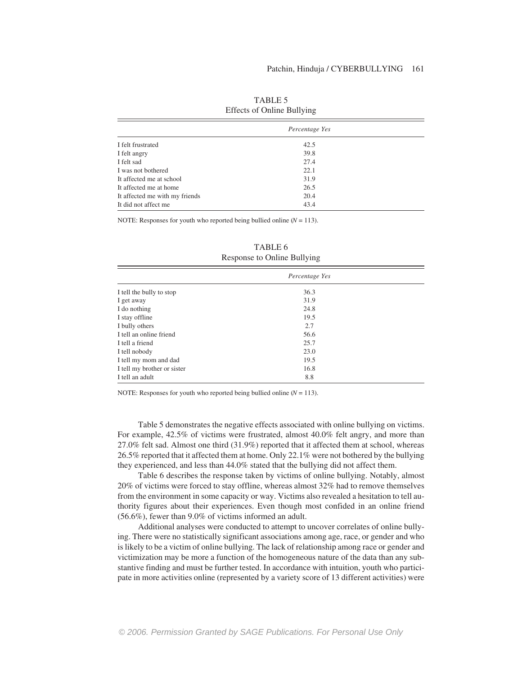|                                | Percentage Yes |  |
|--------------------------------|----------------|--|
| I felt frustrated              | 42.5           |  |
| I felt angry                   | 39.8           |  |
| I felt sad                     | 27.4           |  |
| I was not bothered             | 22.1           |  |
| It affected me at school       | 31.9           |  |
| It affected me at home         | 26.5           |  |
| It affected me with my friends | 20.4           |  |
| It did not affect me           | 43.4           |  |

TABLE 5 Effects of Online Bullying

NOTE: Responses for youth who reported being bullied online (*N* = 113).

|                             | Percentage Yes |  |
|-----------------------------|----------------|--|
| I tell the bully to stop    | 36.3           |  |
| I get away                  | 31.9           |  |
| I do nothing                | 24.8           |  |
| I stay offline              | 19.5           |  |
| I bully others              | 2.7            |  |
| I tell an online friend     | 56.6           |  |
| I tell a friend             | 25.7           |  |
| I tell nobody               | 23.0           |  |
| I tell my mom and dad       | 19.5           |  |
| I tell my brother or sister | 16.8           |  |
| I tell an adult             | 8.8            |  |

TABLE 6 Response to Online Bullying

NOTE: Responses for youth who reported being bullied online (*N* = 113).

Table 5 demonstrates the negative effects associated with online bullying on victims. For example, 42.5% of victims were frustrated, almost 40.0% felt angry, and more than 27.0% felt sad. Almost one third (31.9%) reported that it affected them at school, whereas 26.5% reported that it affected them at home. Only 22.1% were not bothered by the bullying they experienced, and less than 44.0% stated that the bullying did not affect them.

Table 6 describes the response taken by victims of online bullying. Notably, almost 20% of victims were forced to stay offline, whereas almost 32% had to remove themselves from the environment in some capacity or way. Victims also revealed a hesitation to tell authority figures about their experiences. Even though most confided in an online friend (56.6%), fewer than 9.0% of victims informed an adult.

Additional analyses were conducted to attempt to uncover correlates of online bullying. There were no statistically significant associations among age, race, or gender and who is likely to be a victim of online bullying. The lack of relationship among race or gender and victimization may be more a function of the homogeneous nature of the data than any substantive finding and must be further tested. In accordance with intuition, youth who participate in more activities online (represented by a variety score of 13 different activities) were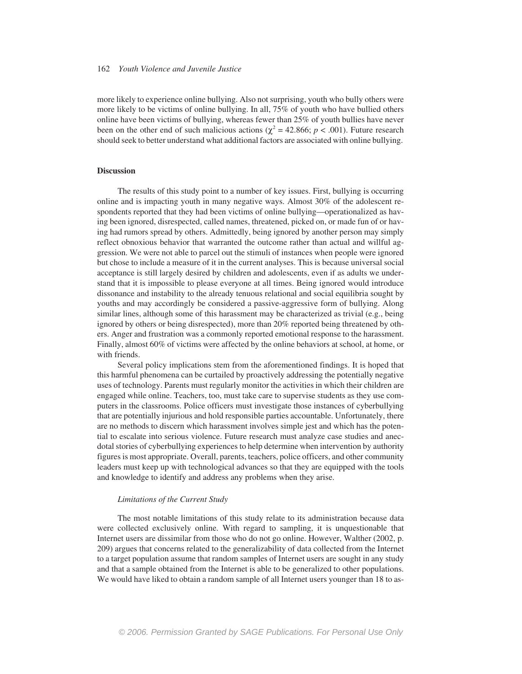more likely to experience online bullying. Also not surprising, youth who bully others were more likely to be victims of online bullying. In all, 75% of youth who have bullied others online have been victims of bullying, whereas fewer than 25% of youth bullies have never been on the other end of such malicious actions ( $\chi^2$  = 42.866; *p* < .001). Future research should seek to better understand what additional factors are associated with online bullying.

## **Discussion**

The results of this study point to a number of key issues. First, bullying is occurring online and is impacting youth in many negative ways. Almost 30% of the adolescent respondents reported that they had been victims of online bullying—operationalized as having been ignored, disrespected, called names, threatened, picked on, or made fun of or having had rumors spread by others. Admittedly, being ignored by another person may simply reflect obnoxious behavior that warranted the outcome rather than actual and willful aggression. We were not able to parcel out the stimuli of instances when people were ignored but chose to include a measure of it in the current analyses. This is because universal social acceptance is still largely desired by children and adolescents, even if as adults we understand that it is impossible to please everyone at all times. Being ignored would introduce dissonance and instability to the already tenuous relational and social equilibria sought by youths and may accordingly be considered a passive-aggressive form of bullying. Along similar lines, although some of this harassment may be characterized as trivial (e.g., being ignored by others or being disrespected), more than 20% reported being threatened by others. Anger and frustration was a commonly reported emotional response to the harassment. Finally, almost 60% of victims were affected by the online behaviors at school, at home, or with friends.

Several policy implications stem from the aforementioned findings. It is hoped that this harmful phenomena can be curtailed by proactively addressing the potentially negative uses of technology. Parents must regularly monitor the activities in which their children are engaged while online. Teachers, too, must take care to supervise students as they use computers in the classrooms. Police officers must investigate those instances of cyberbullying that are potentially injurious and hold responsible parties accountable. Unfortunately, there are no methods to discern which harassment involves simple jest and which has the potential to escalate into serious violence. Future research must analyze case studies and anecdotal stories of cyberbullying experiences to help determine when intervention by authority figures is most appropriate. Overall, parents, teachers, police officers, and other community leaders must keep up with technological advances so that they are equipped with the tools and knowledge to identify and address any problems when they arise.

#### *Limitations of the Current Study*

The most notable limitations of this study relate to its administration because data were collected exclusively online. With regard to sampling, it is unquestionable that Internet users are dissimilar from those who do not go online. However, Walther (2002, p. 209) argues that concerns related to the generalizability of data collected from the Internet to a target population assume that random samples of Internet users are sought in any study and that a sample obtained from the Internet is able to be generalized to other populations. We would have liked to obtain a random sample of all Internet users younger than 18 to as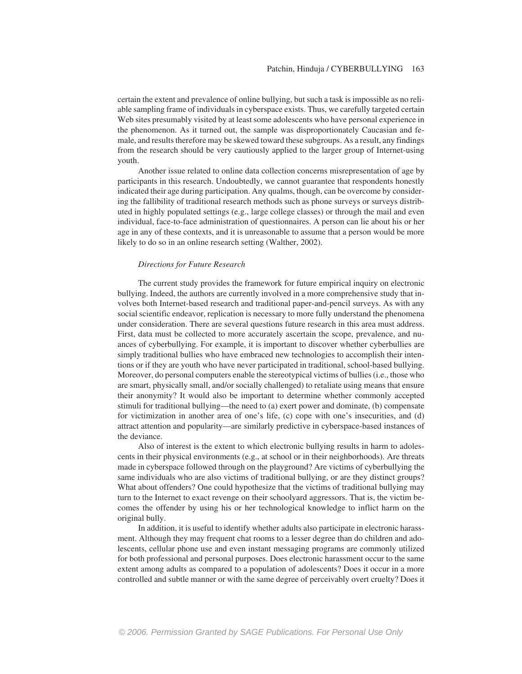certain the extent and prevalence of online bullying, but such a task is impossible as no reliable sampling frame of individuals in cyberspace exists. Thus, we carefully targeted certain Web sites presumably visited by at least some adolescents who have personal experience in the phenomenon. As it turned out, the sample was disproportionately Caucasian and female, and results therefore may be skewed toward these subgroups. As a result, any findings from the research should be very cautiously applied to the larger group of Internet-using youth.

Another issue related to online data collection concerns misrepresentation of age by participants in this research. Undoubtedly, we cannot guarantee that respondents honestly indicated their age during participation. Any qualms, though, can be overcome by considering the fallibility of traditional research methods such as phone surveys or surveys distributed in highly populated settings (e.g., large college classes) or through the mail and even individual, face-to-face administration of questionnaires. A person can lie about his or her age in any of these contexts, and it is unreasonable to assume that a person would be more likely to do so in an online research setting (Walther, 2002).

#### *Directions for Future Research*

The current study provides the framework for future empirical inquiry on electronic bullying. Indeed, the authors are currently involved in a more comprehensive study that involves both Internet-based research and traditional paper-and-pencil surveys. As with any social scientific endeavor, replication is necessary to more fully understand the phenomena under consideration. There are several questions future research in this area must address. First, data must be collected to more accurately ascertain the scope, prevalence, and nuances of cyberbullying. For example, it is important to discover whether cyberbullies are simply traditional bullies who have embraced new technologies to accomplish their intentions or if they are youth who have never participated in traditional, school-based bullying. Moreover, do personal computers enable the stereotypical victims of bullies (i.e., those who are smart, physically small, and/or socially challenged) to retaliate using means that ensure their anonymity? It would also be important to determine whether commonly accepted stimuli for traditional bullying—the need to (a) exert power and dominate, (b) compensate for victimization in another area of one's life, (c) cope with one's insecurities, and (d) attract attention and popularity—are similarly predictive in cyberspace-based instances of the deviance.

Also of interest is the extent to which electronic bullying results in harm to adolescents in their physical environments (e.g., at school or in their neighborhoods). Are threats made in cyberspace followed through on the playground? Are victims of cyberbullying the same individuals who are also victims of traditional bullying, or are they distinct groups? What about offenders? One could hypothesize that the victims of traditional bullying may turn to the Internet to exact revenge on their schoolyard aggressors. That is, the victim becomes the offender by using his or her technological knowledge to inflict harm on the original bully.

In addition, it is useful to identify whether adults also participate in electronic harassment. Although they may frequent chat rooms to a lesser degree than do children and adolescents, cellular phone use and even instant messaging programs are commonly utilized for both professional and personal purposes. Does electronic harassment occur to the same extent among adults as compared to a population of adolescents? Does it occur in a more controlled and subtle manner or with the same degree of perceivably overt cruelty? Does it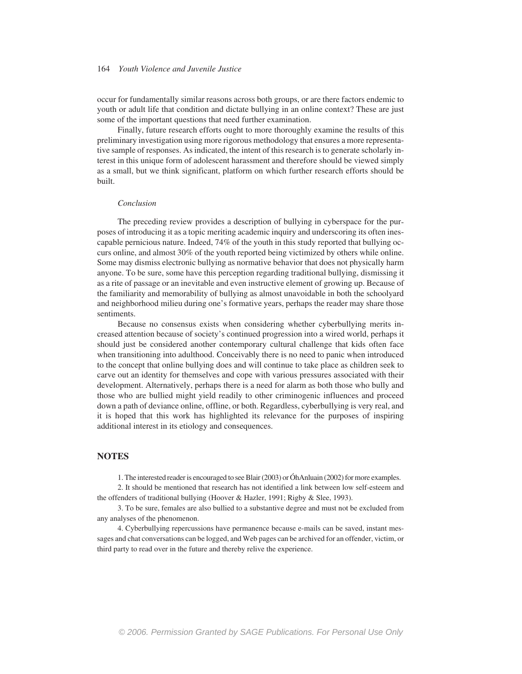occur for fundamentally similar reasons across both groups, or are there factors endemic to youth or adult life that condition and dictate bullying in an online context? These are just some of the important questions that need further examination.

Finally, future research efforts ought to more thoroughly examine the results of this preliminary investigation using more rigorous methodology that ensures a more representative sample of responses. As indicated, the intent of this research is to generate scholarly interest in this unique form of adolescent harassment and therefore should be viewed simply as a small, but we think significant, platform on which further research efforts should be built.

#### *Conclusion*

The preceding review provides a description of bullying in cyberspace for the purposes of introducing it as a topic meriting academic inquiry and underscoring its often inescapable pernicious nature. Indeed, 74% of the youth in this study reported that bullying occurs online, and almost 30% of the youth reported being victimized by others while online. Some may dismiss electronic bullying as normative behavior that does not physically harm anyone. To be sure, some have this perception regarding traditional bullying, dismissing it as a rite of passage or an inevitable and even instructive element of growing up. Because of the familiarity and memorability of bullying as almost unavoidable in both the schoolyard and neighborhood milieu during one's formative years, perhaps the reader may share those sentiments.

Because no consensus exists when considering whether cyberbullying merits increased attention because of society's continued progression into a wired world, perhaps it should just be considered another contemporary cultural challenge that kids often face when transitioning into adulthood. Conceivably there is no need to panic when introduced to the concept that online bullying does and will continue to take place as children seek to carve out an identity for themselves and cope with various pressures associated with their development. Alternatively, perhaps there is a need for alarm as both those who bully and those who are bullied might yield readily to other criminogenic influences and proceed down a path of deviance online, offline, or both. Regardless, cyberbullying is very real, and it is hoped that this work has highlighted its relevance for the purposes of inspiring additional interest in its etiology and consequences.

# **NOTES**

1. The interested reader is encouraged to see Blair (2003) or ÓhAnluain (2002) for more examples.

2. It should be mentioned that research has not identified a link between low self-esteem and the offenders of traditional bullying (Hoover & Hazler, 1991; Rigby & Slee, 1993).

3. To be sure, females are also bullied to a substantive degree and must not be excluded from any analyses of the phenomenon.

4. Cyberbullying repercussions have permanence because e-mails can be saved, instant messages and chat conversations can be logged, and Web pages can be archived for an offender, victim, or third party to read over in the future and thereby relive the experience.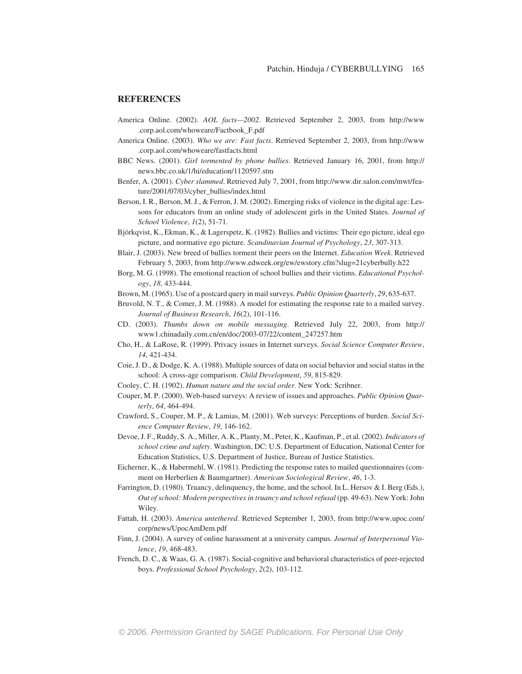# **REFERENCES**

- America Online. (2002). *AOL facts—2002*. Retrieved September 2, 2003, from http://www .corp.aol.com/whoweare/Factbook\_F.pdf
- America Online. (2003). *Who we are: Fast facts*. Retrieved September 2, 2003, from http://www .corp.aol.com/whoweare/fastfacts.html
- BBC News. (2001). *Girl tormented by phone bullies*. Retrieved January 16, 2001, from http:// news.bbc.co.uk/1/hi/education/1120597.stm

Benfer, A. (2001). *Cyber slammed*. Retrieved July 7, 2001, from http://www.dir.salon.com/mwt/feature/2001/07/03/cyber\_bullies/index.html

Berson, I. R., Berson, M. J., & Ferron, J. M. (2002). Emerging risks of violence in the digital age: Lessons for educators from an online study of adolescent girls in the United States. *Journal of School Violence*, *1*(2), 51-71.

Björkqvist, K., Ekman, K., & Lagerspetz, K. (1982). Bullies and victims: Their ego picture, ideal ego picture, and normative ego picture. *Scandinavian Journal of Psychology*, *23*, 307-313.

Blair, J. (2003). New breed of bullies torment their peers on the Internet. *Education Week*. Retrieved February 5, 2003, from http://www.edweek.org/ew/ewstory.cfm?slug=21cyberbully.h22

Borg, M. G. (1998). The emotional reaction of school bullies and their victims. *Educational Psychology*, *18*, 433-444.

Brown, M. (1965). Use of a postcard query in mail surveys. *Public Opinion Quarterly*, *29*, 635-637.

Bruvold, N. T., & Comer, J. M. (1988). A model for estimating the response rate to a mailed survey. *Journal of Business Research*, *16*(2), 101-116.

- CD. (2003). *Thumbs down on mobile messaging*. Retrieved July 22, 2003, from http:// www1.chinadaily.com.cn/en/doc/2003-07/22/content\_247257.htm
- Cho, H., & LaRose, R. (1999). Privacy issues in Internet surveys. *Social Science Computer Review*, *14*, 421-434.
- Coie, J. D., & Dodge, K. A. (1988). Multiple sources of data on social behavior and social status in the school: A cross-age comparison. *Child Development*, *59*, 815-829.
- Cooley, C. H. (1902). *Human nature and the social order*. New York: Scribner.
- Couper, M. P. (2000). Web-based surveys: A review of issues and approaches. *Public Opinion Quarterly*, *64*, 464-494.
- Crawford, S., Couper, M. P., & Lamias, M. (2001). Web surveys: Perceptions of burden. *Social Science Computer Review*, *19*, 146-162.
- Devoe, J. F., Ruddy, S. A., Miller, A. K., Planty, M., Peter, K., Kaufman, P., et al. (2002). *Indicators of school crime and safety*. Washington, DC: U.S. Department of Education, National Center for Education Statistics, U.S. Department of Justice, Bureau of Justice Statistics.
- Eicherner, K., & Habermehl, W. (1981). Predicting the response rates to mailed questionnaires (comment on Herberlien & Baumgartner). *American Sociological Review*, *46*, 1-3.
- Farrington, D. (1980). Truancy, delinquency, the home, and the school. In L. Hersov & I. Berg (Eds.), *Out of school: Modern perspectives in truancy and school refusal* (pp. 49-63). New York: John Wiley.
- Fattah, H. (2003). *America untethered*. Retrieved September 1, 2003, from http://www.upoc.com/ corp/news/UpocAmDem.pdf
- Finn, J. (2004). A survey of online harassment at a university campus. *Journal of Interpersonal Violence*, *19*, 468-483.
- French, D. C., & Waas, G. A. (1987). Social-cognitive and behavioral characteristics of peer-rejected boys. *Professional School Psychology*, *2*(2), 103-112.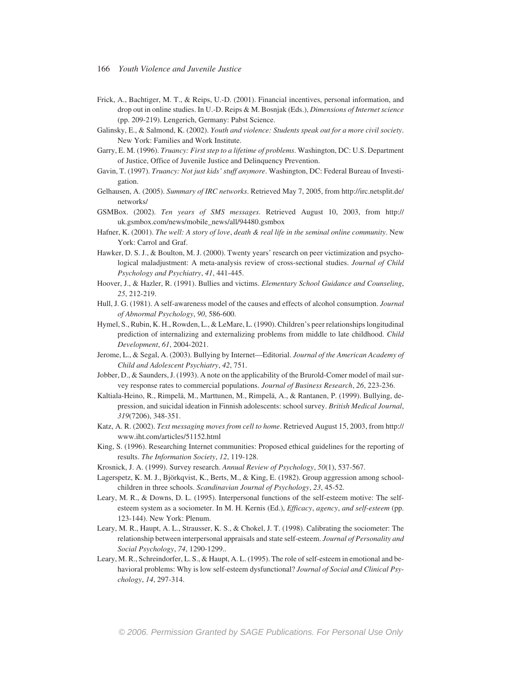- Frick, A., Bachtiger, M. T., & Reips, U.-D. (2001). Financial incentives, personal information, and drop out in online studies. In U.-D. Reips & M. Bosnjak (Eds.), *Dimensions of Internet science* (pp. 209-219). Lengerich, Germany: Pabst Science.
- Galinsky, E., & Salmond, K. (2002). *Youth and violence: Students speak out for a more civil society*. New York: Families and Work Institute.
- Garry, E. M. (1996). *Truancy: First step to a lifetime of problems*. Washington, DC: U.S. Department of Justice, Office of Juvenile Justice and Delinquency Prevention.
- Gavin, T. (1997). *Truancy: Not just kids' stuff anymore*. Washington, DC: Federal Bureau of Investigation.
- Gelhausen, A. (2005). *Summary of IRC networks*. Retrieved May 7, 2005, from http://irc.netsplit.de/ networks/
- GSMBox. (2002). *Ten years of SMS messages*. Retrieved August 10, 2003, from http:// uk.gsmbox.com/news/mobile\_news/all/94480.gsmbox
- Hafner, K. (2001). *The well: A story of love*, *death & real life in the seminal online community*. New York: Carrol and Graf.
- Hawker, D. S. J., & Boulton, M. J. (2000). Twenty years' research on peer victimization and psychological maladjustment: A meta-analysis review of cross-sectional studies. *Journal of Child Psychology and Psychiatry*, *41*, 441-445.
- Hoover, J., & Hazler, R. (1991). Bullies and victims. *Elementary School Guidance and Counseling*, *25*, 212-219.
- Hull, J. G. (1981). A self-awareness model of the causes and effects of alcohol consumption. *Journal of Abnormal Psychology*, *90*, 586-600.
- Hymel, S., Rubin, K. H., Rowden, L., & LeMare, L. (1990). Children's peer relationships longitudinal prediction of internalizing and externalizing problems from middle to late childhood. *Child Development*, *61*, 2004-2021.
- Jerome, L., & Segal, A. (2003). Bullying by Internet—Editorial. *Journal of the American Academy of Child and Adolescent Psychiatry*, *42*, 751.
- Jobber, D., & Saunders, J. (1993). A note on the applicability of the Brurold-Comer model of mail survey response rates to commercial populations. *Journal of Business Research*, *26*, 223-236.
- Kaltiala-Heino, R., Rimpelä, M., Marttunen, M., Rimpelä, A., & Rantanen, P. (1999). Bullying, depression, and suicidal ideation in Finnish adolescents: school survey. *British Medical Journal*, *319*(7206), 348-351.
- Katz, A. R. (2002). *Text messaging moves from cell to home*. Retrieved August 15, 2003, from http:// www.iht.com/articles/51152.html
- King, S. (1996). Researching Internet communities: Proposed ethical guidelines for the reporting of results. *The Information Society*, *12*, 119-128.
- Krosnick, J. A. (1999). Survey research. *Annual Review of Psychology*, *50*(1), 537-567.
- Lagerspetz, K. M. J., Björkqvist, K., Berts, M., & King, E. (1982). Group aggression among schoolchildren in three schools. *Scandinavian Journal of Psychology*, *23*, 45-52.
- Leary, M. R., & Downs, D. L. (1995). Interpersonal functions of the self-esteem motive: The selfesteem system as a sociometer. In M. H. Kernis (Ed.), *Efficacy*, *agency*, *and self-esteem* (pp. 123-144). New York: Plenum.
- Leary, M. R., Haupt, A. L., Strausser, K. S., & Chokel, J. T. (1998). Calibrating the sociometer: The relationship between interpersonal appraisals and state self-esteem. *Journal of Personality and Social Psychology*, *74*, 1290-1299..
- Leary, M. R., Schreindorfer, L. S., & Haupt, A. L. (1995). The role of self-esteem in emotional and behavioral problems: Why is low self-esteem dysfunctional? *Journal of Social and Clinical Psychology*, *14*, 297-314.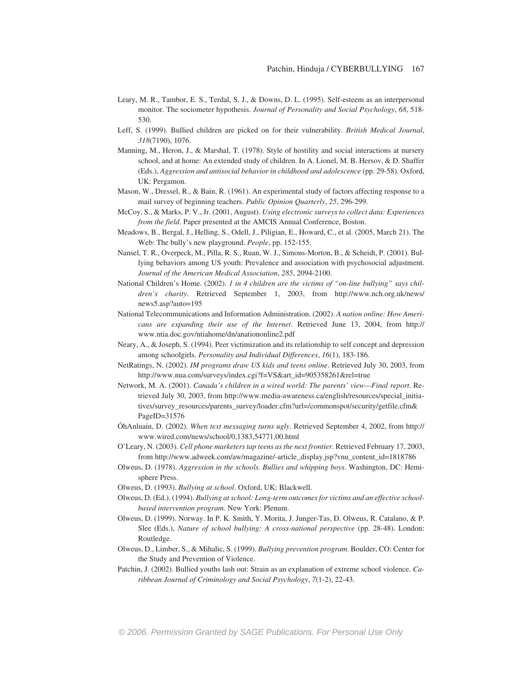- Leary, M. R., Tambor, E. S., Terdal, S. J., & Downs, D. L. (1995). Self-esteem as an interpersonal monitor. The sociometer hypothesis. *Journal of Personality and Social Psychology*, *68*, 518- 530.
- Leff, S. (1999). Bullied children are picked on for their vulnerability. *British Medical Journal*, *318*(7190), 1076.
- Manning, M., Heron, J., & Marshal, T. (1978). Style of hostility and social interactions at nursery school, and at home: An extended study of children. In A. Lionel, M. B. Hersov, & D. Shaffer (Eds.), *Aggression and antisocial behavior in childhood and adolescence* (pp. 29-58). Oxford, UK: Pergamon.
- Mason, W., Dressel, R., & Bain, R. (1961). An experimental study of factors affecting response to a mail survey of beginning teachers. *Public Opinion Quarterly*, *25*, 296-299.
- McCoy, S., & Marks, P. V., Jr. (2001, August). *Using electronic surveys to collect data: Experiences from the field*. Paper presented at the AMCIS Annual Conference, Boston.
- Meadows, B., Bergal, J., Helling, S., Odell, J., Piligian, E., Howard, C., et al. (2005, March 21). The Web: The bully's new playground. *People*, pp. 152-155.
- Nansel, T. R., Overpeck, M., Pilla, R. S., Ruan, W. J., Simons-Morton, B., & Scheidt, P. (2001). Bullying behaviors among US youth: Prevalence and association with psychosocial adjustment. *Journal of the American Medical Association*, *285*, 2094-2100.
- National Children's Home. (2002). *1 in 4 children are the victims of "on-line bullying" says children's charity*. Retrieved September 1, 2003, from http://www.nch.org.uk/news/ news5.asp?auto=195
- National Telecommunications and Information Administration. (2002). *A nation online: How Americans are expanding their use of the Internet*. Retrieved June 13, 2004, from http:// www.ntia.doc.gov/ntiahome/dn/anationonline2.pdf
- Neary, A., & Joseph, S. (1994). Peer victimization and its relationship to self concept and depression among schoolgirls. *Personality and Individual Differences*, *16*(1), 183-186.
- NetRatings, N. (2002). *IM programs draw US kids and teens online*. Retrieved July 30, 2003, from http://www.nua.com/surveys/index.cgi?f=VS&art\_id=905358261&rel=true
- Network, M. A. (2001). *Canada's children in a wired world: The parents' view—Final report*. Retrieved July 30, 2003, from http://www.media-awareness.ca/english/resources/special\_initiatives/survey\_resources/parents\_survey/loader.cfm?url=/commonspot/security/getfile.cfm& PageID=31576
- ÓhAnluain, D. (2002). *When text messaging turns ugly*. Retrieved September 4, 2002, from http:// www.wired.com/news/school/0,1383,54771,00.html
- O'Leary, N. (2003). *Cell phone marketers tap teens as the next frontier*. Retrieved February 17, 2003, from http://www.adweek.com/aw/magazine/-article\_display.jsp?vnu\_content\_id=1818786
- Olweus, D. (1978). *Aggression in the schools. Bullies and whipping boys*. Washington, DC: Hemisphere Press.
- Olweus, D. (1993). *Bullying at school*. Oxford, UK: Blackwell.
- Olweus, D. (Ed.). (1994). *Bullying at school: Long-term outcomes for victims and an effective schoolbased intervention program*. New York: Plenum.
- Olweus, D. (1999). Norway. In P. K. Smith, Y. Morita, J. Junger-Tas, D. Olweus, R. Catalano, & P. Slee (Eds.), *Nature of school bullying: A cross-national perspective* (pp. 28-48). London: Routledge.
- Olweus, D., Limber, S., & Mihalic, S. (1999). *Bullying prevention program*. Boulder, CO: Center for the Study and Prevention of Violence.
- Patchin, J. (2002). Bullied youths lash out: Strain as an explanation of extreme school violence. *Caribbean Journal of Criminology and Social Psychology*, *7*(1-2), 22-43.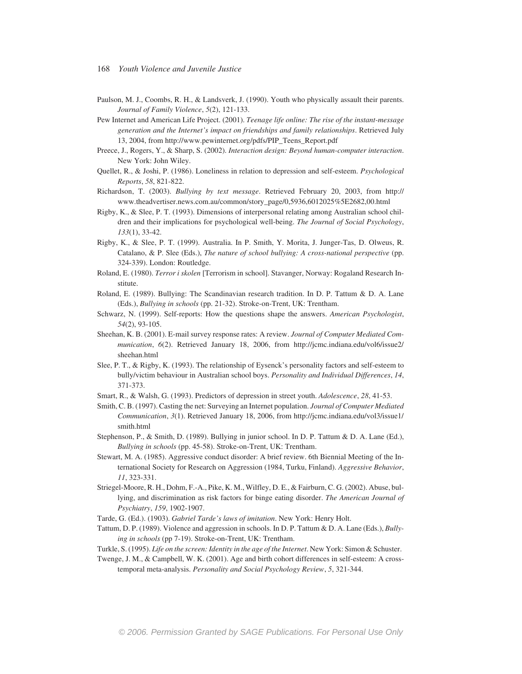- Paulson, M. J., Coombs, R. H., & Landsverk, J. (1990). Youth who physically assault their parents. *Journal of Family Violence*, *5*(2), 121-133.
- Pew Internet and American Life Project. (2001). *Teenage life online: The rise of the instant-message generation and the Internet's impact on friendships and family relationships*. Retrieved July 13, 2004, from http://www.pewinternet.org/pdfs/PIP\_Teens\_Report.pdf
- Preece, J., Rogers, Y., & Sharp, S. (2002). *Interaction design: Beyond human-computer interaction*. New York: John Wiley.
- Quellet, R., & Joshi, P. (1986). Loneliness in relation to depression and self-esteem. *Psychological Reports*, *58*, 821-822.
- Richardson, T. (2003). *Bullying by text message*. Retrieved February 20, 2003, from http:// www.theadvertiser.news.com.au/common/story\_page/0,5936,6012025%5E2682,00.html
- Rigby, K., & Slee, P. T. (1993). Dimensions of interpersonal relating among Australian school children and their implications for psychological well-being. *The Journal of Social Psychology*, *133*(1), 33-42.
- Rigby, K., & Slee, P. T. (1999). Australia. In P. Smith, Y. Morita, J. Junger-Tas, D. Olweus, R. Catalano, & P. Slee (Eds.), *The nature of school bullying: A cross-national perspective* (pp. 324-339). London: Routledge.
- Roland, E. (1980). *Terror i skolen* [Terrorism in school]. Stavanger, Norway: Rogaland Research Institute.
- Roland, E. (1989). Bullying: The Scandinavian research tradition. In D. P. Tattum & D. A. Lane (Eds.), *Bullying in schools* (pp. 21-32). Stroke-on-Trent, UK: Trentham.
- Schwarz, N. (1999). Self-reports: How the questions shape the answers. *American Psychologist*, *54*(2), 93-105.
- Sheehan, K. B. (2001). E-mail survey response rates: A review. *Journal of Computer Mediated Communication*, *6*(2). Retrieved January 18, 2006, from http://jcmc.indiana.edu/vol6/issue2/ sheehan.html
- Slee, P. T., & Rigby, K. (1993). The relationship of Eysenck's personality factors and self-esteem to bully/victim behaviour in Australian school boys. *Personality and Individual Differences*, *14*, 371-373.
- Smart, R., & Walsh, G. (1993). Predictors of depression in street youth. *Adolescence*, *28*, 41-53.
- Smith, C. B. (1997). Casting the net: Surveying an Internet population. *Journal of Computer Mediated Communication*, *3*(1). Retrieved January 18, 2006, from http://jcmc.indiana.edu/vol3/issue1/ smith.html
- Stephenson, P., & Smith, D. (1989). Bullying in junior school. In D. P. Tattum & D. A. Lane (Ed.), *Bullying in schools* (pp. 45-58). Stroke-on-Trent, UK: Trentham.
- Stewart, M. A. (1985). Aggressive conduct disorder: A brief review. 6th Biennial Meeting of the International Society for Research on Aggression (1984, Turku, Finland). *Aggressive Behavior*, *11*, 323-331.
- Striegel-Moore, R. H., Dohm, F.-A., Pike, K. M., Wilfley, D. E., & Fairburn, C. G. (2002). Abuse, bullying, and discrimination as risk factors for binge eating disorder. *The American Journal of Psychiatry*, *159*, 1902-1907.
- Tarde, G. (Ed.). (1903). *Gabriel Tarde's laws of imitation*. New York: Henry Holt.
- Tattum, D. P. (1989). Violence and aggression in schools. In D. P. Tattum & D. A. Lane (Eds.), *Bullying in schools* (pp 7-19). Stroke-on-Trent, UK: Trentham.
- Turkle, S. (1995). *Life on the screen: Identity in the age of the Internet*. New York: Simon & Schuster.
- Twenge, J. M., & Campbell, W. K. (2001). Age and birth cohort differences in self-esteem: A crosstemporal meta-analysis. *Personality and Social Psychology Review*, *5*, 321-344.